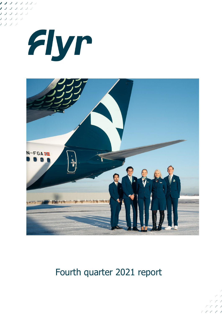





# Fourth quarter 2021 report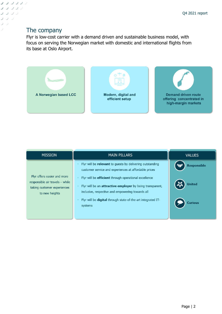## The company

ノ ノ ノ ノ ノ ノ ノフ ノフラ ノフフン フラン  $\overline{U}$  $\overline{\phantom{a}}$ J

> Flyr is low-cost carrier with a demand driven and sustainable business model, with focus on serving the Norwegian market with domestic and international flights from its base at Oslo Airport.



| <b>MISSION</b>                                                                                                  | <b>MAIN PILLARS</b>                                                                                                                                                                                                                                                                                                                                                                   | <b>VALUES</b>                                         |
|-----------------------------------------------------------------------------------------------------------------|---------------------------------------------------------------------------------------------------------------------------------------------------------------------------------------------------------------------------------------------------------------------------------------------------------------------------------------------------------------------------------------|-------------------------------------------------------|
| Flyr offers easier and more<br>responsible air travels - while<br>taking customer experiences<br>to new heights | Flyr will be relevant to guests by delivering outstanding<br>customer service and experiences at affordable prices<br>Flyr will be <b>efficient</b> through operational excellence<br>Flyr will be an attractive employer by being transparent,<br>inclusive, respective and empowering towards all<br>Flyr will be <b>digital</b> through state-of-the-art integrated IT-<br>systems | <b>Responsible</b><br><b>United</b><br><b>Curious</b> |
|                                                                                                                 |                                                                                                                                                                                                                                                                                                                                                                                       |                                                       |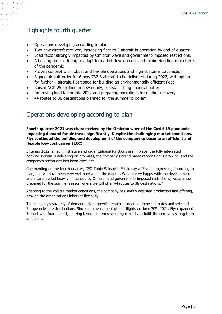## Highlights fourth quarter

ノ ノ ノ ノ ノ ノ ノフ ノフン ナラララ

- Operations developing according to plan
- Two new aircraft received, increasing fleet to 5 aircraft in operation by end of quarter.
- Load factor strongly impacted by Omicron wave and government-imposed restrictions.
- Adjusting route offering to adapt to market development and minimizing financial effects of the pandemic
- Proven concept with robust and flexible operations and high customer satisfaction
- Signed aircraft order for 6 new 737-8 aircraft to be delivered during 2022, with option for further 4 aircraft. Positioned for building an environmentally efficient fleet
- Raised NOK 250 million in new equity, re-establishing financial buffer
- Improving load factor into 2022 and preparing operations for market recovery
- 44 routes to 38 destinations planned for the summer program

## Operations developing according to plan

**Fourth quarter 2021 was characterized by the Omicron wave of the Covid-19 pandemic impacting demand for air travel significantly. Despite the challenging market conditions, Flyr continued the building and development of the company to become an efficient and flexible low-cost carrier (LCC)**

Entering 2022, all administrative and organizational functions are in place, the fully integrated booking-system is delivering on promises, the company's brand name recognition is growing, and the company's operations has been excellent.

Commenting on the fourth quarter, CEO Tonje Wikstrøm Frislid says: "Flyr is progressing according to plan, and we have been very well received in the market. We are very happy with the development and after a period heavily influenced by Omicron and government- imposed restrictions, we are now prepared for the summer season where we will offer 44 routes to 38 destinations."

Adapting to the volatile market conditions, the company has swiftly adjusted production and offering, proving the organizations inherent flexibility.

The company's strategy of demand driven growth remains, targeting domestic routes and selected European leisure destinations. Since commencement of first flights on June 30<sup>th</sup>, 2021, Flyr expanded its fleet with four aircraft, utilizing favorable terms securing capacity to fulfill the company's long-term ambitions.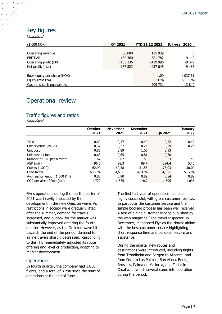## Key figures

Unaudited

ノ ノ ノ ノ ノ ノ ノフ ノフン ノフフラ  $J-J-J$ 

| $(1,000 \text{ NOK})$       | Q4 2021    | <b>YTD 31.12 2021</b> | Full year 2020 |
|-----------------------------|------------|-----------------------|----------------|
|                             |            |                       |                |
| Operating revenue           | 86 080     | 125 939               | 0              |
| <b>EBITDAR</b>              | $-162,360$ | $-381782$             | $-9142$        |
| Operating profit (EBIT)     | -183 336   | $-419996$             | $-9379$        |
| Net profit/(loss)           | -187 323   | -437 045              | $-9466$        |
|                             |            |                       |                |
| Book equity per share (NOK) |            | 1,09                  | 1 037,61       |
| Equity ratio $(\%)$         |            | 19,1 %                | 58,95 %        |
| Cash and cash equivalents   |            | 209 731               | 13 840         |

## Operational review

### Traffic figures and ratios

Unaudited

|                               | <b>October</b> | <b>November</b> | <b>December</b> |         | <b>January</b> |
|-------------------------------|----------------|-----------------|-----------------|---------|----------------|
|                               | 2021           | 2021            | 2021            | 04 2021 | 2022           |
|                               |                |                 |                 |         |                |
| Yield                         | 0,60           | 0,47            | 0,49            | 0,52    | 0,42           |
| Unit revenue (PASK)           | 0,37           | 0,27            | 0,24            | 0,29    | 0,24           |
| Unit cost                     | 0,83           | 0,89            | 1,06            | 0,93    |                |
| Unit cost ex fuel             | 0,63           | 0,65            | 0,81            | 0,70    |                |
| Number of FTE per aircraft    | 67             | 67              | 53              | 53      | 46             |
| ASK (mill)                    | 96,6           | 98,3            | 99,4            | 294,4   | 53,5           |
| Guests (1.000)                | 62,90          | 60,58           | 51,55           | 175,03  | 30,00          |
| Load factor                   | 60,9 %         | 54,5 %          | 47,1 %          | 54,1 %  | 53,7 %         |
| Avg. sector length (1.000 Km) | 0,83           | 0,80            | 0,89            | 0,84    | 0,89           |
| CO2 per aircraft/mo (ton)     | 1 772          | 1 575           | 1 4 6 7         | 1 5 9 5 | 1 0 3 5        |

Flyr's operations during the fourth quarter of 2021 was heavily impacted by the development in the new Omicron wave. As restrictions in society were gradually lifted after the summer, demand for travels increased, and outlook for the market was substantially improved entering the fourth quarter. However, as the Omicron wave hit towards the end of the period, demand for airline travels sharply decreased. Responding to this, Flyr immediately adjusted its route offering and level of production, adapting to market development.

#### **Operations**

In fourth quarter, the company had 1.856 flights, and a total of 3.298 since the start of operations at the end of June.

The first half year of operations has been highly successful, with great customer reviews. In particular the customer service and the simple booking process has been well received. A test of airline customer service published by the web magazine "The travel Inspector! in December, mentioned Flyr as the Nordic airline with the best customer service highlighting short response time and personal service and assistance.

During the quarter new routes and destinations were introduced, including flights from Trondheim and Bergen to Alicante, and from Oslo to Las Palmas, Barcelona, Berlin, Brussels, Palma de Mallorca, and Zadar in Croatia. of which several came into operation during the period.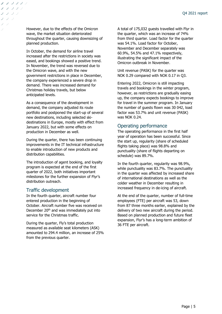However, due to the effects of the Omicron wave, the market situation deteriorated throughout the quarter, causing downsizing of planned production.

ノ ノ ノ ノ ノ ノ ノンフンシ レフフラ

> In October, the demand for airline travel increased after the restrictions in society was eased, and bookings showed a positive trend. In November, the trend was reversed due to the Omicron wave, and with the new government restrictions in place in December, the company experienced a severe drop in demand. There was increased demand for Christmas holiday travels, but below anticipated levels.

As a consequence of the development in demand, the company adjusted its route portfolio and postponed the start-up of several new destinations, including selected skidestinations in Europe, mostly with effect from January 2022, but with some effects on production in December as well.

During the quarter, there has been continuing improvements in the IT technical infrastructure to enable introduction of new products and distribution capabilities.

The introduction of agent booking, and loyalty program is expected at the end of the first quarter of 2022, both initiatives important milestones for the further expansion of Flyr's distribution outreach.

#### Traffic development

In the fourth quarter, aircraft number four entered production in the beginning of October. Aircraft number five was received on December  $20<sup>th</sup>$  and was immediately put into service for the Christmas traffic.

During the quarter, Fly's total production measured as available seat kilometers (ASK) amounted to 294.4 million, an increase of 25% from the previous quarter.

A total of 175,032 guests travelled with Flyr in the quarter, which was an increase of 74% from third quarter. Load factor for the quarter was 54.1%. Load factor for October, November and December separately was 60.9%, 54.5% and 47.1% respectively, illustrating the significant impact of the Omicron outbreak in November.

Unit revenue (PASK) for the quarter was NOK 0.29 compared with NOK 0.17 in Q3.

Entering 2022, Omicron is still impacting travels and bookings in the winter program, however, as restrictions are gradually easing up, the company expects bookings to improve for travel in the summer program. In January the number of guests flown was 30 042, load factor was 53.7% and unit revenue (PASK) was NOK 0.24.

### Operating performance

The operating performance in the first half year of operation has been successful. Since the start up, regularity (share of scheduled flights taking place) was 98.8% and punctuality (share of flights departing on schedule) was 89.7%.

In the fourth quarter, regularity was 98.9%, while punctuality was 83.7%. The punctuality in the quarter was affected by increased share of international destinations as well as the colder weather in December resulting in increased frequency in de-icing of aircraft.

At the end of the quarter, number of full-time employees (FTE) per aircraft was 53, down from 87 three months earlier, explained by the delivery of two new aircraft during the period. Based on planned production and future fleet expansion, Flyr's has a long-term ambition of 36 FTE per aircraft.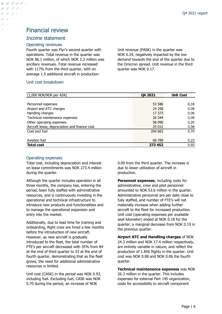## Financial review

#### Income statement

ノ ノ ノ ノ ノ ノ フフフラ レフンシ

#### Operating revenues

Fourth quarter was Flyr's second quarter with operations. Total revenue in the quarter was NOK 86.1 million, of which NOK 3.3 million was ancillary revenues. Total revenue increased with 117% from the third quarter, with on average 1.5 additional aircraft in production.

#### Unit cost breakdown

Unit revenue (PASK) in the quarter was NOK 0.29, negatively impacted by the low demand towards the end of the quarter due to the Omicron spread. Unit revenue in the third quarter was NOK 0.17.

| (1,000 NOK/NOK per ASK)                       | Q4 2021 | <b>Unit Cost</b> |
|-----------------------------------------------|---------|------------------|
|                                               |         |                  |
| Personnel expenses                            | 53 586  | 0,18             |
| Airport and ATC charges                       | 24 258  | 0,08             |
| Handling charges                              | 17 373  | 0,06             |
| Technical maintenance expenses                | 26 344  | 0,09             |
| Other operating expenses                      | 58 090  | 0,20             |
| Aircraft lease, depreciation and finance cost | 25 012  | 0,08             |
| Cost excl fuel                                | 204 663 | 0.70             |
|                                               |         |                  |
| Aviation fuel                                 | 68 789  | 0,23             |
| <b>Total cost</b>                             | 273 452 | 0,93             |

#### Operating expenses

Total cost, including depreciation and interest on lease commitments was NOK 273.4 million during the quarter.

Although the quarter includes operation in all three months, the company has, entering the period, been fully staffed with administrative resources, and is continuously investing in the operational and technical infrastructure to introduce new products and functionalities and to manage the operational expansion and entry into the market.

Additionally, due to lead time for training and onboarding, flight crew are hired a few months before the introduction of new aircraft. However, as new aircraft is gradually introduced to the fleet, the total number of FTE's per aircraft decreased with 35% from 84 at the end of third quarter to 53 at the end of fourth quarter, demonstrating that as the fleet grows, the need for additional administrative resources is limited.

Unit cost (CASK) in the period was NOK 0.93, including fuel. Excluding fuel, CASK was NOK 0.70 during the period, an increase of NOK

0.09 from the third quarter. The increase is due to lower utilization of aircraft in production.

**Personnel expenses**, including costs for administrative, crew and pilot personnel amounted to NOK 53.6 million in the quarter. Administrative personnel are per date close to fully staffed, and number of FTE's will not materially increase when adding further aircraft to the fleet for increased production. Unit cost (operating expenses per available seat kilometer) ended at NOK 0.18 for the quarter; a marginal decrease from NOK 0.19 in the previous quarter.

**Airport ATC and Handling charges** of NOK 24.3 million and NOK 17.4 million respectively, are entirely variable in nature, and reflect the production of 1.856 flights in the quarter. Unit cost was NOK 0.08 and NOK 0.06 the fourth quarter.

**Technical maintenance expenses** was NOK 26.3 million in the quarter. This includes expenses for external Part 145 organization, costs for accessibility to aircraft component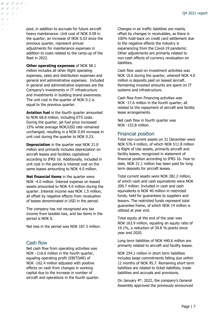pool, in addition to accruals for future aircraft heavy maintenance. Unit cost of NOK 0.09 in the quarter, an increase of NOK 0.03 since the previous quarter, represent annual adjustments for maintenance expenses in addition to costs related to the ramp-up of the fleet in 2022.

ノ ノ ノ ノ ノ ノ ノンシンジ レフフラ

> **Other operating expenses** of NOK 58.1 million includes all other flight operating expenses, sales and distribution expenses and general and administrative expenses. Included in general and administrative expenses are the Company's investments in IT infrastructure and investments in building brand awareness. The unit cost in the quarter of NOK 0.2 is equal to the previous quarter.

> **Aviation fuel** in the fourth quarter amounted to NOK 68.8 million, including ETS costs. During the quarter, jet fuel price increased 15% while average NOK/USD rate remained unchanged, resulting in a NOK 0.04 increase in unit cost during the quarter to NOK 0.23.

**Depreciation** in the quarter was NOK 21.0 million and primarily includes depreciation on aircraft leases and facilities capitalized according to IFRS 16. Additionally, included in unit cost in the period is interest cost on the same leases amounting to NOK 4.0 million.

**Net financial items** in the quarter were NOK -4.0 million. Interest expense on leased assets amounted to NOK 4.0 million during the quarter. Interest income was NOK 1.5 million, all offset by negative effects from revaluation of leases denominated in USD in the period.

The company has not recognized any tax income from taxable loss, and tax items in the period is NOK 0.

Net loss in the period was NOK 187.3 million.

#### Cash flow

Net cash flow from operating activities was NOK –118.6 million in the fourth quarter, equaling operating profit (EBITDAR) of NOK -162.4 million adjusted with positive effects on cash from changes in working capital due to the increase in number of aircraft and operations in the fourth quarter. Changes in air traffic liabilities are mainly offset by changes in receivables, as there is 100% hold-back on credit card settlement due to the negative effects the industry is experiencing from the Covid-19 pandemic. Other adjustments are primarily related to non-cash effects of currency revaluation on liabilities.

Cash flow used on investment activities was NOK 16.6 during the quarter, whereof NOK 4.0 million is deposits paid on leased aircraft. Remaining invested amounts are spent on IT systems and infrastructure.

Cash flow from Financing activities was NOK -17.6 million in the fourth quarter, all related to the repayment of aircraft and facility lease arrangements.

Net cash flow in fourth quarter was NOK -152.8 million.

#### Financial position

Total non-current assets on 31 December were NOK 576.4 million, of which NOK 511.8 million is Right of Use assets, primarily aircraft and facility leases, recognized in statement of financial position according to IFRS 16. Year to date, NOK 21.1 million has been paid for long term deposits for aircraft leases.

Total current assets were NOK 282.2 million, of which cash and cash equivalents were NOK 209.7 million. Included in cash and cash equivalents is NOK 40 million in restricted funds, held for guarantees to suppliers and lessors. The restricted funds represent total guarantee frame, of which NOK 14 million is utilized at year end.

Total equity at the end of the year was NOK 163.9 million, equaling an equity ratio of 19.1%, a reduction of 39.8 %-points since year end 2020.

Long term liabilities of NOK 440.6 million are primarily related to aircraft and facility leases.

NOK 254.1 million in short term liabilities includes lease commitments falling due within 12 months of NOK 95.7. Remaining short term liabilities are related to ticket liabilities, trade liabilities and accruals and provisions.

On January 4<sup>th</sup>, 2022, the company's General Assembly approved the previously announced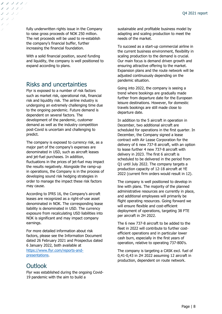fully underwritten rights issue in the Company to raise gross proceeds of NOK 250 million. The net proceeds will be used to re-establish the company's financial buffer, further increasing the financial foundation.

ノ ノ ノ ノ ノ ノ ノフ ノフラ ノフフラ

> With a solid financial position, sound funding and liquidity, the company is well positioned to expand according to plans.

## Risks and uncertainties

Flyr is exposed to a number of risk factors such as market risk, operational risk, financial risk and liquidity risk. The airline industry is undergoing an extremely challenging time due to the ongoing pandemic. Future demand is dependent on several factors. The development of the pandemic, customer demand as well as the industry competition post-Covid is uncertain and challenging to predict.

The company is exposed to currency risk, as a major part of the company's expenses are denominated in USD, such as aircraft leases and jet-fuel purchases. In addition, fluctuations in the prices of jet-fuel may impact the results negatively. Alongside the ramp-up in operations, the Company is in the process of developing sound risk hedging strategies in order to manage the impact these risk factors may cause.

According to IFRS 16, the Company's aircraft leases are recognized as a right-of-use asset denominated in NOK. The corresponding lease liability is denominated in USD. The currency exposure from recalculating USD liabilities into NOK is significant and may impact company earnings.

For more detailed information about risk factors, please see the Information Document dated 26 February 2021 and Prospectus dated 6 January 2022, both available at [https://www.flyr.com/reports-and](https://www.flyr.com/reports-and-presentations)[presentations.](https://www.flyr.com/reports-and-presentations)

## **Outlook**

Flyr was established during the ongoing Covid-19 pandemic with the aim to build a

sustainable and profitable business model by adapting and scaling production to meet the needs of the market.

To succeed as a start-up commercial airline in the current business environment, flexibility in scaling production to the demand is crucial. Our main focus is demand driven growth and ensuring attractive offering to the market. Expansion plans and the route network will be adjusted continuously depending on the pandemic situation.

Going into 2022, the company is seeing a trend where bookings are gradually made further from departure date for the European leisure destinations. However, for domestic travels bookings are still made close to departure date.

In addition to the 5 aircraft in operation in December, two additional aircraft are scheduled for operations in the first quarter. In December, the Company signed a lease contract with Air Lease Corporation for the delivery of 6 new 737-8 aircraft, with an option to lease further 4 new 737-8 aircraft with delivery in 2023. The first 6 aircraft is scheduled to be delivered in the period from Q1 until July 2022. The company targets a production capacity of 12-18 aircraft at YE 2022 (current firm orders would result in 12).

The company is well positioned to develop in line with plans. The majority of the planned administrative resources are currently in place, and additional employees will primarily be flight operating resources. Going forward we will ensure flexible and cost-efficient deployment of operations, targeting 38 FTE per aircraft in 2H 2022.

The 6 new 737-8 aircraft to be added to the fleet in 2022 will contribute to further costefficient operations and in particular lower cash burn, especially in the first years of operation, relative to operating 737-800's.

The company is targeting a CASK excl. fuel of 0,41-0,43 in 2H 2022 assuming 12 aircraft in production, dependent on route network.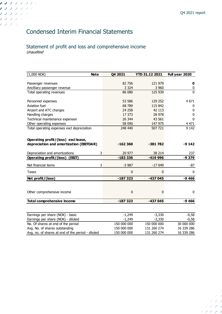## Condensed Interim Financial Statements

1 J J J J J J J ノフフフフラン ノフフランシ ノフフラン ノフシン

### Statement of profit and loss and comprehensive income Unaudited

| <b>Note</b><br>$(1,000$ NOK)                      | Q4 2021     | <b>YTD 31.12 2021</b> | Full year 2020 |
|---------------------------------------------------|-------------|-----------------------|----------------|
|                                                   |             |                       |                |
| Passenger revenues                                | 82 756      | 121 979               | $\mathbf 0$    |
| Ancilliary passenger revenue                      | 3 3 2 4     | 3 9 6 0               | 0              |
| Total operating revenues                          | 86 080      | 125 939               | $\mathbf 0$    |
| Personnel expenses                                | 53 586      | 129 252               | 4 6 7 1        |
| Aviation fuel                                     | 68 789      | 115 842               | 0              |
| Airport and ATC charges                           | 24 258      | 42 113                | 0              |
| Handling charges                                  | 17 373      | 28 978                | 0              |
| Technical maintenance expensen                    | 26 344      | 43 561                | 0              |
| Other operating expenses                          | 58 090      | 147 975               | 4 4 7 1        |
| Total operating expenses excl depreciation        | 248 440     | 507 721               | 9 1 4 2        |
|                                                   |             |                       |                |
| Operating profit/(loss) excl lease,               |             |                       |                |
| depreciation and amortization (EBITDAR)           | $-162360$   | $-381782$             | $-9142$        |
| Depreciation and amortizations<br>3               | 20 977      | 38 214                | 237            |
| Operating profit/(loss) (EBIT)                    | $-183336$   | -419 996              | -9 379         |
| 3<br>Net financial items                          | $-3987$     | $-17049$              | -87            |
| <b>Taxes</b>                                      | $\mathbf 0$ | 0                     | $\mathbf{0}$   |
| Net profit/(loss)                                 | $-187323$   | $-437045$             | $-9466$        |
|                                                   |             |                       |                |
| Other comprehensive income                        | $\mathbf 0$ | 0                     | 0              |
| <b>Total comprehensive income</b>                 | $-187323$   | $-437045$             | $-9466$        |
|                                                   |             |                       |                |
| Earnings per share (NOK) - basic                  | $-1,249$    | $-3,330$              | $-0,58$        |
| Earnings per share (NOK) - diluted                | $-1,249$    | $-3,330$              | $-0,58$        |
| No. Of shares at end of the period                | 150 000 000 | 150 000 000           | 30 000 000     |
| Avg. No. of shares outstanding                    | 150 000 000 | 131 260 274           | 16 339 286     |
| Avg. no. of shares at end of the period - diluted | 150 000 000 | 131 260 274           | 16 339 286     |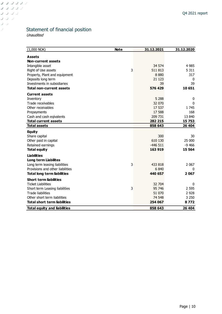## Statement of financial position

Unaudited

 $J/J/J/J/J$ フランシン フランジ フラッ フラー  $\bar{\mathcal{L}}$ 

| $(1,000$ NOK)<br><b>Note</b>        |   | 31.12.2021 | 31.12.2020 |
|-------------------------------------|---|------------|------------|
| Assets                              |   |            |            |
| Non-current assets                  |   |            |            |
| Intangible asset                    |   | 34 574     | 4 9 8 5    |
| Right of Use assets                 | 3 | 511813     | 5 3 1 1    |
| Property, Plant and equipment       |   | 8880       | 317        |
| Deposits long term                  |   | 21 1 23    | 0          |
| Investments in subsidiaries         |   | 39         | 39         |
| <b>Total non-current assets</b>     |   | 576 429    | 10 651     |
| <b>Current assets</b>               |   |            |            |
| Inventory                           |   | 5 2 8 8    | 0          |
| Trade receivables                   |   | 32 070     | 0          |
| Other receivables                   |   | 17 537     | 1745       |
| Prepayments                         |   | 17 588     | 168        |
| Cash and cash eqivalents            |   | 209 731    | 13 840     |
| <b>Total current assets</b>         |   | 282 215    | 15 753     |
| <b>Total assets</b>                 |   | 858 643    | 26 404     |
| <b>Equity</b>                       |   |            |            |
| Share capital                       |   | 300        | 30         |
| Other paid in capital               |   | 610 130    | 25 000     |
| Retained earnings                   |   | $-446511$  | $-9466$    |
| <b>Total equity</b>                 |   | 163 919    | 15 5 64    |
| <b>Liabilities</b>                  |   |            |            |
| <b>Long term Liabilites</b>         |   |            |            |
| Long term leasing liabilities       | 3 | 433 818    | 2 0 67     |
| Provisions and other liabilities    |   | 6840       | 0          |
| <b>Total long term liabilities</b>  |   | 440 657    | 2 0 6 7    |
| <b>Short term liabilities</b>       |   |            |            |
| <b>Ticket Liabilities</b>           |   | 32 704     | 0          |
| Short term Leasing liabilities      | 3 | 95 746     | 2 5 9 5    |
| <b>Trade liabilities</b>            |   | 51 070     | 2 9 2 8    |
| Other short term liabilities        |   | 74 548     | 3 2 5 0    |
| <b>Total short term liabilities</b> |   | 254 067    | 8772       |
| <b>Total equity and liabilities</b> |   | 858 643    | 26 404     |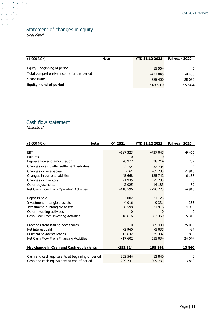### Statement of changes in equity Unaudited

| $(1,000$ NOK)                             | <b>Note</b> | <b>YTD 31.12 2021</b> | Full year 2020 |
|-------------------------------------------|-------------|-----------------------|----------------|
|                                           |             |                       |                |
| Equity - beginning of period              |             | 15 5 64               | $\Omega$       |
| Total comprehensive income for the period |             | -437 045              | -9 466         |
| Share issue                               |             | 585 400               | 25 030         |
| Equity - end of period                    |             | 163 919               | 15 5 64        |

## Cash flow statement

Unaudited

フ フ フ フ フ フ フランシン フランシ フラッ フラ  $\mathcal{I}$ 

| $(1,000$ NOK)<br><b>Note</b>                     | Q4 2021   | <b>YTD 31.12 2021</b> | Full year 2020 |
|--------------------------------------------------|-----------|-----------------------|----------------|
|                                                  |           |                       |                |
| <b>EBT</b>                                       | $-187323$ | -437 045              | -9 466         |
| Paid tax                                         | 0         | 0                     | 0              |
| Deprecaition and amortization                    | 20 977    | 38 214                | 237            |
| Changes in air traffic settlement liabilities    | 2 1 5 4   | 32 704                | $\Omega$       |
| Changes in receivables                           | $-161$    | $-65283$              | $-1913$        |
| Changes in current liabilities                   | 45 6 68   | 125 742               | 6 1 3 8        |
| Changes in inventory                             | $-1935$   | $-5288$               | 0              |
| Other adjustments                                | 2 0 2 5   | 14 183                | 87             |
| Net Cash Flow From Operating Activities          | $-118596$ | $-296773$             | $-4916$        |
|                                                  |           |                       |                |
| Deposits paid                                    | $-4002$   | $-21123$              | 0              |
| Investment in tangible assets                    | $-4016$   | $-9331$               | $-333$         |
| Investment in intangible assets                  | $-8598$   | $-31916$              | -4 985         |
| Other investing activities                       | 0         | 0                     | 0              |
| Cash Flow From Investing Activities              | $-16616$  | $-62369$              | $-5318$        |
|                                                  |           |                       |                |
| Proceeds from issuing new shares                 | 0         | 585 400               | 25 030         |
| Net interest paid                                | $-2960$   | $-5035$               | -87            |
| Principal payments leases                        | $-14642$  | $-25332$              | -869           |
| Net Cash Flow From Financing Activities          | $-17602$  | 555 034               | 24 0 74        |
|                                                  |           |                       |                |
| Net change in Cash and Cash equivalents          | $-152814$ | 195 891               | 13840          |
|                                                  |           |                       |                |
| Cash and cash equivalents at beginning of period | 362 544   | 13 840                | $\Omega$       |
| Cash and cash equivalents at end of period       | 209 731   | 209 731               | 13 840         |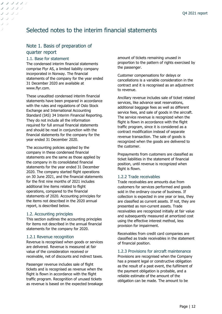## Selected notes to the interim financial statements

## Note 1. Basis of preparation of quarter report

#### 1.1. Base for statement

ノ ノ ノ ノ ノ ノ ノフ ノフン ノフフラ

> The condensed interim financial statements comprise Flyr AS, a limited liability company incorporated in Norway. The financial statements of the company for the year ended 31 December 2020 are available at www.flyr.com.

> These unaudited condensed interim financial statements have been prepared in accordance with the rules and regulations of Oslo Stock Exchange and International Accounting Standard (IAS) 34 Interim Financial Reporting. They do not include all the information required for full annual financial statements and should be read in conjunction with the financial statements for the company for the year ended 31 December 2020.

> The accounting policies applied by the company in these condensed financial statements are the same as those applied by the company in its consolidated financial statements for the year ended 31 December 2020. The company started flight operations on 30 June 2021, and the financial statements for the first nine months of 2021 includes additional line items related to flight operations, compared to the financial statements of 2020. Accounting principles for the items not described in the 2020 annual report, is described below.

#### 1.2. Accounting principles

This section outlines the accounting principles for items not described in the annual financial statements for the company for 2020.

#### 1.2.1 Revenue recognition

Revenue is recognised when goods or services are delivered. Revenue is measured at fair value of the consideration received or receivable, net of discounts and indirect taxes.

Passenger revenue includes sale of flight tickets and is recognised as revenue when the flight is flown in accordance with the flight traffic program. Recognition of unused tickets as revenue is based on the expected breakage amount of tickets remaining unused in proportion to the pattern of rights exercised by the passenger.

Customer compensations for delays or cancellations is a variable consideration in the contract and it is recognised as an adjustment to revenue.

Ancillary revenue includes sale of ticket related services, like advance seat reservations, additional baggage fees as well as different service fees, and sale of goods in the aircraft. The service revenue is recognized when the flight is flown in accordance with the flight traffic program, since it is considered as a contract modification instead of separate revenue transaction. The sale of goods is recognized when the goods are delivered to the customer.

Prepayments from customers are classified as ticket liabilities in the statement of financial position, until revenue is recognized when flight is flown.

#### 1.2.2 Trade receivables

Trade receivables are amounts due from customers for services performed and goods sold in the ordinary course of business. If collection is expected in one year or less, they are classified as current assets. If not, they are presented as non-current assets. Trade receivables are recognized initially at fair value and subsequently measured at amortized cost using the effective interest method, less provision for impairment.

Receivables from credit card companies are classified as trade receivables in the statement of financial position.

1.2.3 Provisions for aircraft maintenance

Provisions are recognised when the Company has a present legal or constructive obligation as the result of a past event, the fulfilment of the payment obligation is probable, and a reliable estimate of the amount of the obligation can be made. The amount to be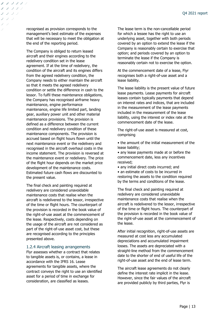recognised as provision corresponds to the management's best estimate of the expenses that will be necessary to meet the obligation at the end of the reporting period.

ノ ノ ノ ノ ノ ノ ノンフンシ コンフラ

> The Company is obliged to return leased aircraft and their engines according to the redelivery condition set in the lease agreement. If at the time of redelivery, the condition of the aircraft and its engines differs from the agreed redelivery condition, the Company needs to either maintain the aircraft so that it meets the agreed redelivery condition or settle the difference in cash to the lessor. To fulfil these maintenance obligations, the Company has recognised airframe heavy maintenance, engine performance maintenance, engine life limited part, landing gear, auxiliary power unit and other material maintenance provisions. The provision is defined as a difference between the current condition and redelivery condition of these maintenance components. The provision is accrued based on flight hours flown until the next maintenance event or the redelivery and recognised in the aircraft overhaul costs in the income statement. The provision is reversed at the maintenance event or redelivery. The price of the flight hour depends on the market price development of the maintenance costs. Estimated future cash flows are discounted to the present value.

> The final check and painting required at redelivery are considered unavoidable maintenance costs that realise when the aircraft is redelivered to the lessor, irrespective of the time or flight hours. The counterpart of the provision is recorded in the book value of the right-of-use asset at the commencement of the lease. Respectively, costs depending on the usage of the aircraft are not considered as part of the right-of-use asset cost, but these are recognised according to the principles presented above.

#### 1.2.4 Aircraft leasing arrangements

Flyr assesses whether a contract that relates to tangible assets is, or contains, a lease in accordance with the IFRS 16. Lease agreements for tangible assets, where the contract conveys the right to use an identified asset for a period of time in exchange for consideration, are classified as leases.

The lease term is the non-cancellable period for which a lessee has the right to use an underlying asset, together with both periods covered by an option to extend the lease if the Company is reasonably certain to exercise that option; and periods covered by an option to terminate the lease if the Company is reasonably certain not to exercise the option.

At the commencement date of a lease, Flyr recognises both a right-of-use asset and a lease liability.

The lease liability is the present value of future lease payments. Lease payments for aircraft leases contain typically payments that depend on interest rates and indices, that are included in the measurement of the lease payments included in the measurement of the lease liability, using the interest or index rate at the commencement date of the lease.

The right-of-use asset is measured at cost, comprising

• the amount of the initial measurement of the lease liability;

• any lease payments made at or before the commencement date, less any incentives received;

• any initial direct costs incurred; and

• an estimate of costs to be incurred in restoring the assets to the condition required by the terms and conditions of the lease.

The final check and painting required at redelivery are considered unavoidable maintenance costs that realise when the aircraft is redelivered to the lessor, irrespective of the time or flight hours. The counterpart of the provision is recorded in the book value of the right-of-use asset at the commencement of the lease.

After initial recognition, right-of-use assets are measured at cost less any accumulated depreciations and accumulated impairment losses. The assets are depreciated with a straight-line method from the commencement date to the shorter of end of useful life of the right-of-use asset and the end of lease term.

The aircraft lease agreements do not clearly define the interest rate implicit in the lease. However, since the fair values of the aircraft are provided publicly by third parties, Flyr is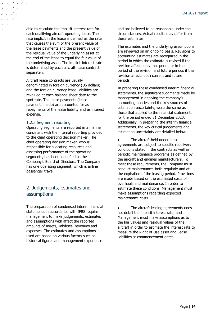able to calculate the implicit interest rate for each qualifying aircraft operating lease. The rate implicit in the lease is defined as the rate that causes the sum of the present value of the lease payments and the present value of the residual value of the underlying asset at the end of the lease to equal the fair value of the underlying asset. The implicit interest rate is determined by each aircraft lease contract separately.

Aircraft lease contracts are usually denominated in foreign currency (US dollars) and the foreign currency lease liabilities are revalued at each balance sheet date to the spot rate. The lease payments (lease payments made) are accounted for as repayments of the lease liability and as interest expense.

#### 1.2.5 Segment reporting

ノ ノ ノ ノ ノ ノ ノフ ノフン ノフフラ

> Operating segments are reported in a manner consistent with the internal reporting provided to the chief operating decision maker. The chief operating decision maker, who is responsible for allocating resources and assessing performance of the operating segments, has been identified as the Company's Board of Directors. The Company has one operating segment, which is airline passenger travel.

### 2. Judgements, estimates and assumptions

The preparation of condensed interim financial statements in accordance with IFRS require management to make judgements, estimates and assumptions with affect the reported amounts of assets, liabilities, revenues and expenses. The estimates and assumptions used are based on various factors such as historical figures and management experience

and are believed to be reasonable under the circumstances. Actual results may differ from these estimates.

The estimates and the underlying assumptions are reviewed on an ongoing basis. Revisions to accounting estimates are recognized in the period in which the estimate is revised if the revision affects only that period or in the period of the revision and future periods if the revision affects both current and future periods.

In preparing these condensed interim financial statements, the significant judgments made by management in applying the company's accounting policies and the key sources of estimation uncertainty, were the same as those that applied to the financial statements for the period ended 31 December 2020. Additionally, in preparing the interim financial statements, the key critical judgements and estimation uncertainty are detailed below.

The aircraft held under lease agreements are subject to specific redelivery conditions stated in the contracts as well as periodic maintenance programs as defined by the aircraft and engines manufacturers. To meet these requirements, the Company must conduct maintenance, both regularly and at the expiration of the leasing period. Provisions are made based on the estimated costs of overhauls and maintenance. In order to estimate these conditions, Management must make assumptions regarding expected maintenance costs.

The aircraft leasing agreements does not detail the implicit interest rate, and Management must make assumptions as to the fair values and residual values of the aircraft in order to estimate the interest rate to measure the Right of Use asset and Lease liabilities at commencement dates.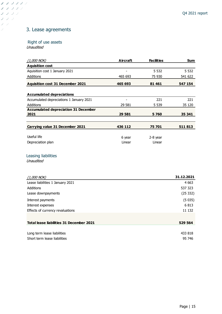## 3. Lease agreements

### Right of use assets

Unaudited

 $J/J/J/J/J$ フランシン フランジ フラッ フラ  $\mathcal{I}^+$ 

| $(1,000$ NOK)                            | Aircraft | <b>Facilities</b> | Sum     |
|------------------------------------------|----------|-------------------|---------|
| <b>Aquisition cost</b>                   |          |                   |         |
| Aquisition cost 1 January 2021           |          | 5 5 3 2           | 5 5 3 2 |
| <b>Additions</b>                         | 465 693  | 75 930            | 541 622 |
| <b>Aquisition cost 31 December 2021</b>  | 465 693  | 81 461            | 547 154 |
| <b>Accumulated depreciations</b>         |          |                   |         |
| Accumulated depreciations 1 January 2021 |          | 221               | 221     |
| <b>Additions</b>                         | 29 581   | 5 5 3 9           | 35 120  |
| Accumulated depreciation 31 December     |          |                   |         |
| 2021                                     | 29 581   | 5760              | 35 341  |
|                                          |          |                   |         |
| Carrying value 31 December 2021          | 436 112  | 75 701            | 511 813 |
| Useful life                              | 6 year   | 2-8 year          |         |
| Depreciation plan                        | Linear   | Linear            |         |

### Leasing liabilities

**Unaudited** 

| (1,000 NOK)                                     | 31.12.2021 |
|-------------------------------------------------|------------|
| Lease liabilities 1 January 2021                | 4 6 63     |
| <b>Additions</b>                                | 537 323    |
| Lease downpayments                              | (25332)    |
| Interest payments                               | (5035)     |
| Interest expenses                               | 6813       |
| Effects of currency revaluations                | 11 132     |
|                                                 |            |
| <b>Total lease liabilities 31 December 2021</b> | 529 564    |
|                                                 |            |
| Long term lease liabilities                     | 433 818    |
| Short term lease liabilities                    | 95 746     |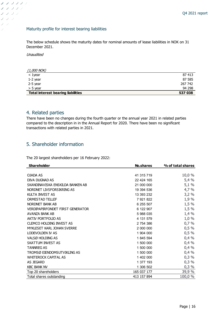#### Maturity profile for interest bearing liabilities

The below schedule shows the maturity dates for nominal amounts of lease liabilities in NOK on 31 December 2021.

Unaudited

ノフ ノフフラ フ フ フ フ フ フランシ フラン  $\cal{Y}$   $\cal{Y}$  $\mathcal{I}$ 

| (1,000 NOK)                               |         |
|-------------------------------------------|---------|
| < 1year                                   | 87 413  |
| $1-2$ year                                | 87 585  |
| 2-5 year                                  | 267 742 |
| $>$ 5 vear                                | 94 298  |
| <b>Total interest bearing liabilities</b> | 537 038 |

### 4. Related parties

There have been no changes during the fourth quarter or the annual year 2021 in related parties compared to the description in in the Annual Report for 2020. There have been no significant transactions with related parties in 2021.

### 5. Shareholder information

The 20 largest shareholders per 16 February 2022:

| <b>Shareholder</b>                      | No.shares   | % of total shares |
|-----------------------------------------|-------------|-------------------|
|                                         |             |                   |
| OJADA AS                                | 41 315 719  | 10,0 %            |
| DIVA DUGNAD AS                          | 22 424 165  | 5,4%              |
| SKANDINAVISKA ENSKILDA BANKEN AB        | 21 000 000  | 5,1%              |
| NORDNET LIVSFORSIKRING AS               | 19 394 536  | 4,7%              |
| KULTA INVEST AS                         | 13 393 232  | 3,2%              |
| <b>ORMESTAD TELLEF</b>                  | 7 921 822   | 1,9 %             |
| NORDNET BANK AB                         | 6 255 507   | 1,5%              |
| <b>VERDIPAPIRFONDET FIRST GENERATOR</b> | 6 122 907   | 1,5 %             |
| AVANZA BANK AB                          | 5 988 035   | 1,4%              |
| AKTIV PORTFOLIO AS                      | 4 131 579   | 1,0%              |
| <b>CLEMCO HOLDING INVEST AS</b>         | 2 754 386   | 0,7%              |
| MYKLESET KARL JOHAN SVERRE              | 2 000 000   | 0,5%              |
| LODEVOLDEN IV AS                        | 1 904 000   | 0,5%              |
| VALSØ HOLDING AS                        | 1845 594    | 0,4%              |
| SKATTUM INVEST AS                       | 1 500 000   | 0,4%              |
| <b>TANNREG AS</b>                       | 1 500 000   | 0,4%              |
| TROMSØ EIENDOMSUTVIKLING AS             | 1 500 000   | 0,4%              |
| <b>WHITEROCK CAPITAL AS</b>             | 1 402 000   | 0,3%              |
| AS JEGARD                               | 1 377 193   | 0,3%              |
| <b>KBC BANK NV</b>                      | 1 306 502   | 0,3%              |
| Top 20 shareholders                     | 165 037 177 | 39,9 %            |
| Total shares outstanding                | 413 157 894 | 100,0 %           |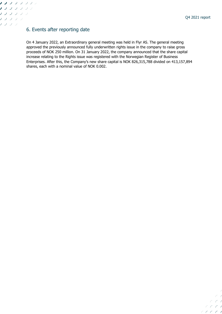$\subset$  1  $c \neq 0$  $CCCO$  $C C C$ 

 $\overline{\phantom{a}}$ 

### 6. Events after reporting date

1 J J J J J J J ノフフフフラン ノノノノノン ノフフラン ノフシン

> On 4 January 2022, an Extraordinary general meeting was held in Flyr AS. The general meeting approved the previously announced fully underwritten rights issue in the company to raise gross proceeds of NOK 250 million. On 31 January 2022, the company announced that the share capital increase relating to the Rights issue was registered with the Norwegian Register of Business Enterprises. After this, the Company's new share capital is NOK 826,315,788 divided on 413,157,894 shares, each with a nominal value of NOK 0.002.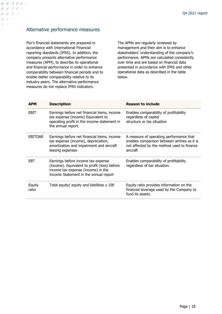## Alternative performance measures

フ ノ ノ ノ ノ ノ フ フ フ フ フ ノフフラ フラン

Ÿ

Flyr's financial statements are prepared in accordance with International Financial reporting standards (IFRS). In addition, the company presents alternative performance measures (APM), to describe its operational and financial performance in order to enhance comparability between financial periods and to enable better comparability relative to its industry peers. The alternative performance measures do not replace IFRS indicators.

The APMs are regularly reviewed by management and their aim is to enhance stakeholders' understanding of the company's performance. APMs are calculated consistently over time and are based on financial data presented in accordance with IFRS and other operational data as described in the table below.

| <b>APM</b>      | <b>Description</b>                                                                                                                                                | <b>Reason to include</b>                                                                                                                          |
|-----------------|-------------------------------------------------------------------------------------------------------------------------------------------------------------------|---------------------------------------------------------------------------------------------------------------------------------------------------|
| EBIT            | Earnings before net financial items, income<br>tax expense (income) Equivalent to<br>operating profit in the income statement in<br>the annual report.            | Enables comparability of profitability<br>regardless of capital<br>structure or tax situation                                                     |
| <b>EBITDAR</b>  | Earnings before net financial items, income<br>tax expense (income), depreciation,<br>amortization and impairment and aircraft<br>leasing expenses                | A measure of operating performance that<br>enables comparison between airlines as it is<br>not affected by the method used to finance<br>aircraft |
| <b>EBT</b>      | Earnings before income tax expense<br>(income). Equivalent to profit (loss) before<br>income tax expense (income) in the<br>Income Statement in the annual report | Enables comparability of profitability<br>regardless of tax situation.                                                                            |
| Equity<br>ratio | Total equity/ equity and liabilities x 100                                                                                                                        | Equity ratio provides information on the<br>financial leverage used by the Company to<br>fund its assets.                                         |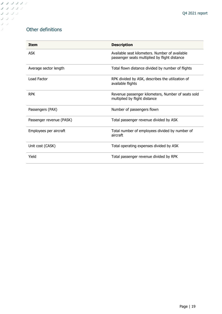## Other definitions

フ ノ ノ ノ ノ ノ フランシン フランシ  $\begin{array}{c} \mathcal{S} \\ \mathcal{S} \end{array}$  $J\supseteq J$  $\mathcal{I}$ 

| <b>Item</b>              | <b>Description</b>                                                                              |
|--------------------------|-------------------------------------------------------------------------------------------------|
| <b>ASK</b>               | Available seat kilometers. Number of available<br>passenger seats multiplied by flight distance |
| Average sector length    | Total flown distance divided by number of flights                                               |
| Load Factor              | RPK divided by ASK, describes the utilization of<br>available flights                           |
| <b>RPK</b>               | Revenue passenger kilometers, Number of seats sold<br>multiplied by flight distance             |
| Passengers (PAX)         | Number of passengers flown                                                                      |
| Passenger revenue (PASK) | Total passenger revenue divided by ASK                                                          |
| Employees per aircraft   | Total number of employees divided by number of<br>aircraft                                      |
| Unit cost (CASK)         | Total operating expenses divided by ASK                                                         |
| Yield                    | Total passenger revenue divided by RPK                                                          |